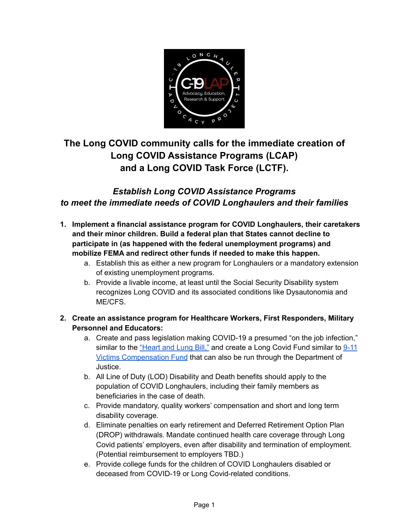

# **The Long COVID community calls for the immediate creation of Long COVID Assistance Programs (LCAP) and a Long COVID Task Force (LCTF).**

### *Establish Long COVID Assistance Programs to meet the immediate needs of COVID Longhaulers and their families*

- **1. Implement a financial assistance program for COVID Longhaulers, their caretakers and their minor children. Build a federal plan that States cannot decline to participate in (as happened with the federal unemployment programs) and mobilize FEMA and redirect other funds if needed to make this happen.**
	- a. Establish this as either a new program for Longhaulers or a mandatory extension of existing unemployment programs.
	- b. Provide a livable income, at least until the Social Security Disability system recognizes Long COVID and its associated conditions like Dysautonomia and ME/CFS.
- **2. Create an assistance program for Healthcare Workers, First Responders, Military Personnel and Educators:**
	- a. Create and pass legislation making COVID-19 a presumed "on the job infection," similar to the ["Heart](https://m.flsenate.gov/Statutes/112.18) and Lung Bill," and create a Long Covid Fund similar to [9-11](https://www.cdc.gov/wtc/laws.html) Victims [Compensation](https://www.cdc.gov/wtc/laws.html) Fund that can also be run through the Department of Justice.
	- b. All Line of Duty (LOD) Disability and Death benefits should apply to the population of COVID Longhaulers, including their family members as beneficiaries in the case of death.
	- c. Provide mandatory, quality workers' compensation and short and long term disability coverage.
	- d. Eliminate penalties on early retirement and Deferred Retirement Option Plan (DROP) withdrawals. Mandate continued health care coverage through Long Covid patients' employers, even after disability and termination of employment. (Potential reimbursement to employers TBD.)
	- e. Provide college funds for the children of COVID Longhaulers disabled or deceased from COVID-19 or Long Covid-related conditions.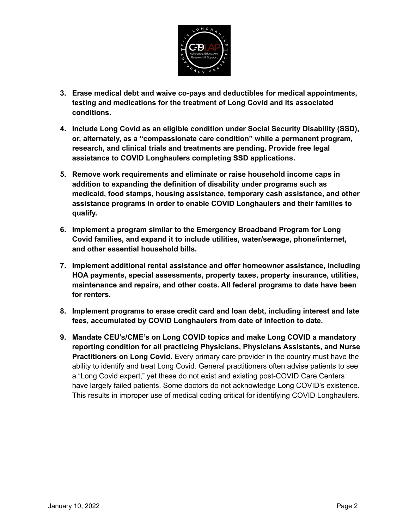

- **3. Erase medical debt and waive co-pays and deductibles for medical appointments, testing and medications for the treatment of Long Covid and its associated conditions.**
- **4. Include Long Covid as an eligible condition under Social Security Disability (SSD), or, alternately, as a "compassionate care condition" while a permanent program, research, and clinical trials and treatments are pending. Provide free legal assistance to COVID Longhaulers completing SSD applications.**
- **5. Remove work requirements and eliminate or raise household income caps in addition to expanding the definition of disability under programs such as medicaid, food stamps, housing assistance, temporary cash assistance, and other assistance programs in order to enable COVID Longhaulers and their families to qualify.**
- **6. Implement a program similar to the Emergency Broadband Program for Long Covid families, and expand it to include utilities, water/sewage, phone/internet, and other essential household bills.**
- **7. Implement additional rental assistance and offer homeowner assistance, including HOA payments, special assessments, property taxes, property insurance, utilities, maintenance and repairs, and other costs. All federal programs to date have been for renters.**
- **8. Implement programs to erase credit card and loan debt, including interest and late fees, accumulated by COVID Longhaulers from date of infection to date.**
- **9. Mandate CEU's/CME's on Long COVID topics and make Long COVID a mandatory reporting condition for all practicing Physicians, Physicians Assistants, and Nurse Practitioners on Long Covid.** Every primary care provider in the country must have the ability to identify and treat Long Covid. General practitioners often advise patients to see a "Long Covid expert," yet these do not exist and existing post-COVID Care Centers have largely failed patients. Some doctors do not acknowledge Long COVID's existence. This results in improper use of medical coding critical for identifying COVID Longhaulers.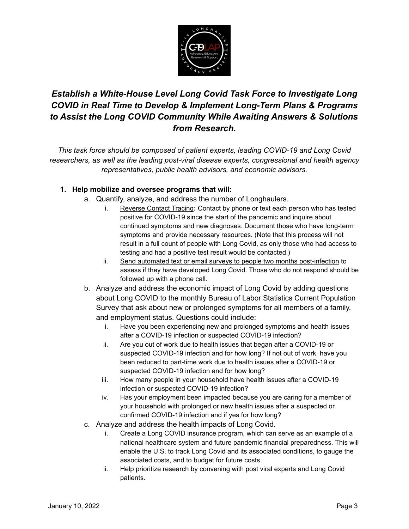

## *Establish a White-House Level Long Covid Task Force to Investigate Long COVID in Real Time to Develop & Implement Long-Term Plans & Programs to Assist the Long COVID Community While Awaiting Answers & Solutions from Research.*

*This task force should be composed of patient experts, leading COVID-19 and Long Covid researchers, as well as the leading post-viral disease experts, congressional and health agency representatives, public health advisors, and economic advisors.*

### **1. Help mobilize and oversee programs that will:**

- a. Quantify, analyze, and address the number of Longhaulers.
	- i. Reverse Contact Tracing**:** Contact by phone or text each person who has tested positive for COVID-19 since the start of the pandemic and inquire about continued symptoms and new diagnoses. Document those who have long-term symptoms and provide necessary resources. (Note that this process will not result in a full count of people with Long Covid, as only those who had access to testing and had a positive test result would be contacted.)
	- ii. Send automated text or email surveys to people two months post-infection to assess if they have developed Long Covid. Those who do not respond should be followed up with a phone call.
- b. Analyze and address the economic impact of Long Covid by adding questions about Long COVID to the monthly Bureau of Labor Statistics Current Population Survey that ask about new or prolonged symptoms for all members of a family, and employment status. Questions could include:
	- i. Have you been experiencing new and prolonged symptoms and health issues after a COVID-19 infection or suspected COVID-19 infection?
	- ii. Are you out of work due to health issues that began after a COVID-19 or suspected COVID-19 infection and for how long? If not out of work, have you been reduced to part-time work due to health issues after a COVID-19 or suspected COVID-19 infection and for how long?
	- iii. How many people in your household have health issues after a COVID-19 infection or suspected COVID-19 infection?
	- iv. Has your employment been impacted because you are caring for a member of your household with prolonged or new health issues after a suspected or confirmed COVID-19 infection and if yes for how long?
- c. Analyze and address the health impacts of Long Covid.
	- i. Create a Long COVID insurance program, which can serve as an example of a national healthcare system and future pandemic financial preparedness. This will enable the U.S. to track Long Covid and its associated conditions, to gauge the associated costs, and to budget for future costs.
	- ii. Help prioritize research by convening with post viral experts and Long Covid patients.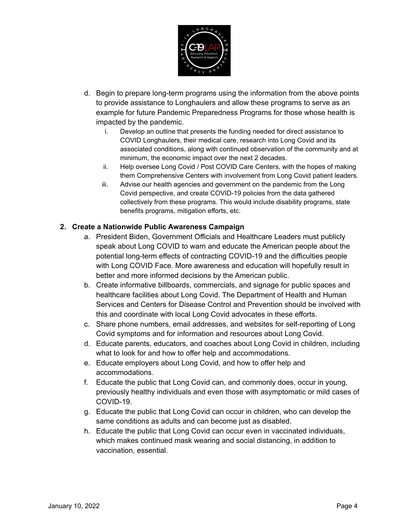

- d. Begin to prepare long-term programs using the information from the above points to provide assistance to Longhaulers and allow these programs to serve as an example for future Pandemic Preparedness Programs for those whose health is impacted by the pandemic.
	- i. Develop an outline that presents the funding needed for direct assistance to COVID Longhaulers, their medical care, research into Long Covid and its associated conditions, along with continued observation of the community and at minimum, the economic impact over the next 2 decades.
	- ii. Help oversee Long Covid / Post COVID Care Centers, with the hopes of making them Comprehensive Centers with involvement from Long Covid patient leaders.
	- iii. Advise our health agencies and government on the pandemic from the Long Covid perspective, and create COVID-19 policies from the data gathered collectively from these programs. This would include disability programs, state benefits programs, mitigation efforts, etc.

#### **2. Create a Nationwide Public Awareness Campaign**

- a. President Biden, Government Officials and Healthcare Leaders must publicly speak about Long COVID to warn and educate the American people about the potential long-term effects of contracting COVID-19 and the difficulties people with Long COVID Face. More awareness and education will hopefully result in better and more informed decisions by the American public.
- b. Create informative billboards, commercials, and signage for public spaces and healthcare facilities about Long Covid. The Department of Health and Human Services and Centers for Disease Control and Prevention should be involved with this and coordinate with local Long Covid advocates in these efforts.
- c. Share phone numbers, email addresses, and websites for self-reporting of Long Covid symptoms and for information and resources about Long Covid.
- d. Educate parents, educators, and coaches about Long Covid in children, including what to look for and how to offer help and accommodations.
- e. Educate employers about Long Covid, and how to offer help and accommodations.
- f. Educate the public that Long Covid can, and commonly does, occur in young, previously healthy individuals and even those with asymptomatic or mild cases of COVID-19.
- g. Educate the public that Long Covid can occur in children, who can develop the same conditions as adults and can become just as disabled.
- h. Educate the public that Long Covid can occur even in vaccinated individuals, which makes continued mask wearing and social distancing, in addition to vaccination, essential.